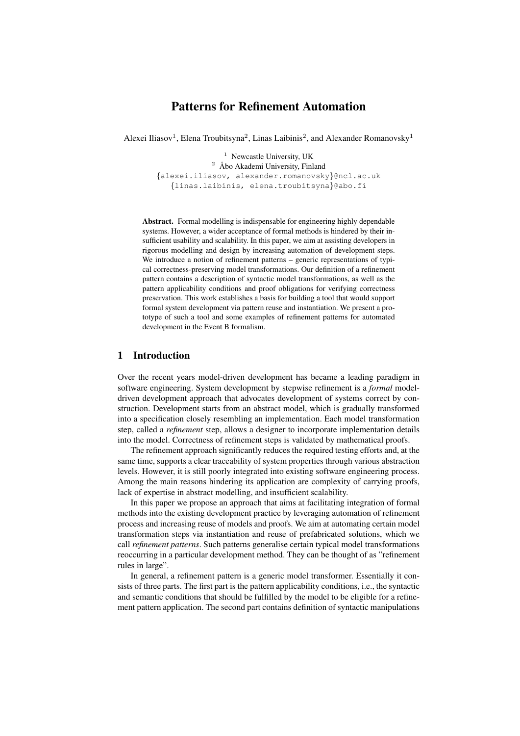# Patterns for Refinement Automation

Alexei Iliasov<sup>1</sup>, Elena Troubitsyna<sup>2</sup>, Linas Laibinis<sup>2</sup>, and Alexander Romanovsky<sup>1</sup>

<sup>1</sup> Newcastle University, UK

 $2$  Åbo Akademi University, Finland {alexei.iliasov, alexander.romanovsky}@ncl.ac.uk {linas.laibinis, elena.troubitsyna}@abo.fi

Abstract. Formal modelling is indispensable for engineering highly dependable systems. However, a wider acceptance of formal methods is hindered by their insufficient usability and scalability. In this paper, we aim at assisting developers in rigorous modelling and design by increasing automation of development steps. We introduce a notion of refinement patterns – generic representations of typical correctness-preserving model transformations. Our definition of a refinement pattern contains a description of syntactic model transformations, as well as the pattern applicability conditions and proof obligations for verifying correctness preservation. This work establishes a basis for building a tool that would support formal system development via pattern reuse and instantiation. We present a prototype of such a tool and some examples of refinement patterns for automated development in the Event B formalism.

# 1 Introduction

Over the recent years model-driven development has became a leading paradigm in software engineering. System development by stepwise refinement is a *formal* modeldriven development approach that advocates development of systems correct by construction. Development starts from an abstract model, which is gradually transformed into a specification closely resembling an implementation. Each model transformation step, called a *refinement* step, allows a designer to incorporate implementation details into the model. Correctness of refinement steps is validated by mathematical proofs.

The refinement approach significantly reduces the required testing efforts and, at the same time, supports a clear traceability of system properties through various abstraction levels. However, it is still poorly integrated into existing software engineering process. Among the main reasons hindering its application are complexity of carrying proofs, lack of expertise in abstract modelling, and insufficient scalability.

In this paper we propose an approach that aims at facilitating integration of formal methods into the existing development practice by leveraging automation of refinement process and increasing reuse of models and proofs. We aim at automating certain model transformation steps via instantiation and reuse of prefabricated solutions, which we call *refinement patterns*. Such patterns generalise certain typical model transformations reoccurring in a particular development method. They can be thought of as "refinement rules in large".

In general, a refinement pattern is a generic model transformer. Essentially it consists of three parts. The first part is the pattern applicability conditions, i.e., the syntactic and semantic conditions that should be fulfilled by the model to be eligible for a refinement pattern application. The second part contains definition of syntactic manipulations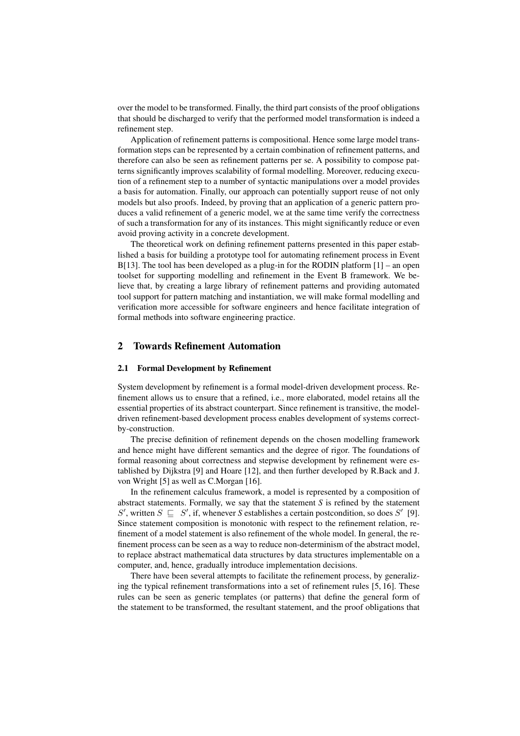over the model to be transformed. Finally, the third part consists of the proof obligations that should be discharged to verify that the performed model transformation is indeed a refinement step.

Application of refinement patterns is compositional. Hence some large model transformation steps can be represented by a certain combination of refinement patterns, and therefore can also be seen as refinement patterns per se. A possibility to compose patterns significantly improves scalability of formal modelling. Moreover, reducing execution of a refinement step to a number of syntactic manipulations over a model provides a basis for automation. Finally, our approach can potentially support reuse of not only models but also proofs. Indeed, by proving that an application of a generic pattern produces a valid refinement of a generic model, we at the same time verify the correctness of such a transformation for any of its instances. This might significantly reduce or even avoid proving activity in a concrete development.

The theoretical work on defining refinement patterns presented in this paper established a basis for building a prototype tool for automating refinement process in Event  $B[13]$ . The tool has been developed as a plug-in for the RODIN platform  $[1]$  – an open toolset for supporting modelling and refinement in the Event B framework. We believe that, by creating a large library of refinement patterns and providing automated tool support for pattern matching and instantiation, we will make formal modelling and verification more accessible for software engineers and hence facilitate integration of formal methods into software engineering practice.

# 2 Towards Refinement Automation

### 2.1 Formal Development by Refinement

System development by refinement is a formal model-driven development process. Refinement allows us to ensure that a refined, i.e., more elaborated, model retains all the essential properties of its abstract counterpart. Since refinement is transitive, the modeldriven refinement-based development process enables development of systems correctby-construction.

The precise definition of refinement depends on the chosen modelling framework and hence might have different semantics and the degree of rigor. The foundations of formal reasoning about correctness and stepwise development by refinement were established by Dijkstra [9] and Hoare [12], and then further developed by R.Back and J. von Wright [5] as well as C.Morgan [16].

In the refinement calculus framework, a model is represented by a composition of abstract statements. Formally, we say that the statement *S* is refined by the statement S', written  $S \subseteq S'$ , if, whenever S establishes a certain postcondition, so does S' [9]. Since statement composition is monotonic with respect to the refinement relation, refinement of a model statement is also refinement of the whole model. In general, the refinement process can be seen as a way to reduce non-determinism of the abstract model, to replace abstract mathematical data structures by data structures implementable on a computer, and, hence, gradually introduce implementation decisions.

There have been several attempts to facilitate the refinement process, by generalizing the typical refinement transformations into a set of refinement rules [5, 16]. These rules can be seen as generic templates (or patterns) that define the general form of the statement to be transformed, the resultant statement, and the proof obligations that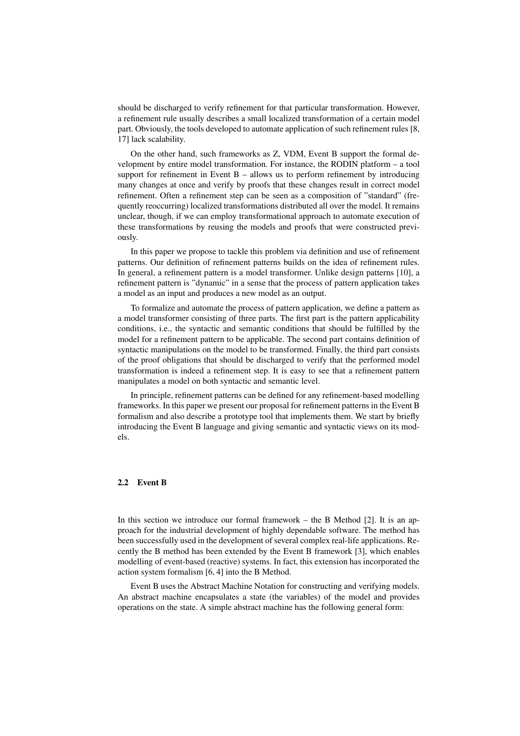should be discharged to verify refinement for that particular transformation. However, a refinement rule usually describes a small localized transformation of a certain model part. Obviously, the tools developed to automate application of such refinement rules [8, 17] lack scalability.

On the other hand, such frameworks as Z, VDM, Event B support the formal development by entire model transformation. For instance, the RODIN platform – a tool support for refinement in Event  $B -$  allows us to perform refinement by introducing many changes at once and verify by proofs that these changes result in correct model refinement. Often a refinement step can be seen as a composition of "standard" (frequently reoccurring) localized transformations distributed all over the model. It remains unclear, though, if we can employ transformational approach to automate execution of these transformations by reusing the models and proofs that were constructed previously.

In this paper we propose to tackle this problem via definition and use of refinement patterns. Our definition of refinement patterns builds on the idea of refinement rules. In general, a refinement pattern is a model transformer. Unlike design patterns [10], a refinement pattern is "dynamic" in a sense that the process of pattern application takes a model as an input and produces a new model as an output.

To formalize and automate the process of pattern application, we define a pattern as a model transformer consisting of three parts. The first part is the pattern applicability conditions, i.e., the syntactic and semantic conditions that should be fulfilled by the model for a refinement pattern to be applicable. The second part contains definition of syntactic manipulations on the model to be transformed. Finally, the third part consists of the proof obligations that should be discharged to verify that the performed model transformation is indeed a refinement step. It is easy to see that a refinement pattern manipulates a model on both syntactic and semantic level.

In principle, refinement patterns can be defined for any refinement-based modelling frameworks. In this paper we present our proposal for refinement patterns in the Event B formalism and also describe a prototype tool that implements them. We start by briefly introducing the Event B language and giving semantic and syntactic views on its models.

### 2.2 Event B

In this section we introduce our formal framework – the B Method [2]. It is an approach for the industrial development of highly dependable software. The method has been successfully used in the development of several complex real-life applications. Recently the B method has been extended by the Event B framework [3], which enables modelling of event-based (reactive) systems. In fact, this extension has incorporated the action system formalism [6, 4] into the B Method.

Event B uses the Abstract Machine Notation for constructing and verifying models. An abstract machine encapsulates a state (the variables) of the model and provides operations on the state. A simple abstract machine has the following general form: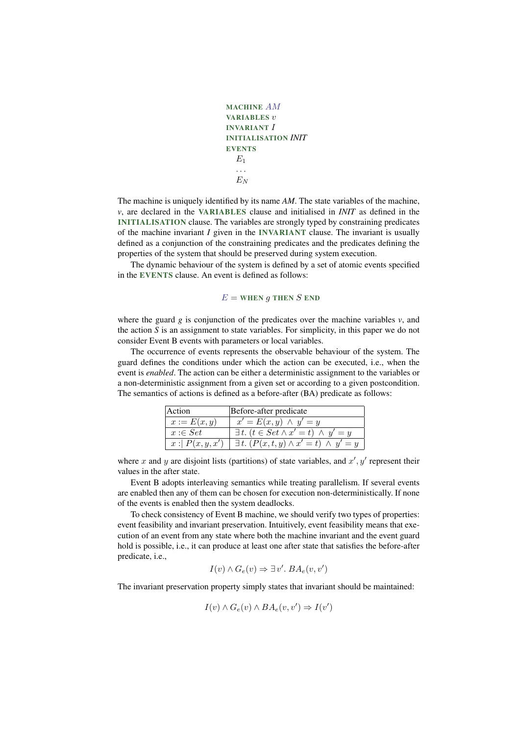```
MACHINE AM
VARIABLES v
INVARIANT I
INITIALISATION INIT
EVENTS
  E_1. . .
  E_N
```
The machine is uniquely identified by its name *AM*. The state variables of the machine, *v*, are declared in the VARIABLES clause and initialised in *INIT* as defined in the INITIALISATION clause. The variables are strongly typed by constraining predicates of the machine invariant *I* given in the INVARIANT clause. The invariant is usually defined as a conjunction of the constraining predicates and the predicates defining the properties of the system that should be preserved during system execution.

The dynamic behaviour of the system is defined by a set of atomic events specified in the EVENTS clause. An event is defined as follows:

# $E =$  WHEN *a* THEN *S* END

where the guard *g* is conjunction of the predicates over the machine variables *v*, and the action *S* is an assignment to state variables. For simplicity, in this paper we do not consider Event B events with parameters or local variables.

The occurrence of events represents the observable behaviour of the system. The guard defines the conditions under which the action can be executed, i.e., when the event is *enabled*. The action can be either a deterministic assignment to the variables or a non-deterministic assignment from a given set or according to a given postcondition. The semantics of actions is defined as a before-after (BA) predicate as follows:

| Action         | Before-after predicate                                 |
|----------------|--------------------------------------------------------|
| $x := E(x, y)$ | $x' = E(x, y) \wedge y' = y$                           |
| $x: \in Set$   | $\exists t.$ $(t \in Set \wedge x' = t) \wedge y' = y$ |
| x: P(x, y, x') | $\exists t. (P(x,t,y) \wedge x' = t) \wedge y' = y$    |

where x and y are disjoint lists (partitions) of state variables, and  $x', y'$  represent their values in the after state.

Event B adopts interleaving semantics while treating parallelism. If several events are enabled then any of them can be chosen for execution non-deterministically. If none of the events is enabled then the system deadlocks.

To check consistency of Event B machine, we should verify two types of properties: event feasibility and invariant preservation. Intuitively, event feasibility means that execution of an event from any state where both the machine invariant and the event guard hold is possible, i.e., it can produce at least one after state that satisfies the before-after predicate, i.e.,

$$
I(v) \wedge G_e(v) \Rightarrow \exists v'.\ BA_e(v, v')
$$

The invariant preservation property simply states that invariant should be maintained:

 $I(v) \wedge G_e(v) \wedge BA_e(v, v') \Rightarrow I(v')$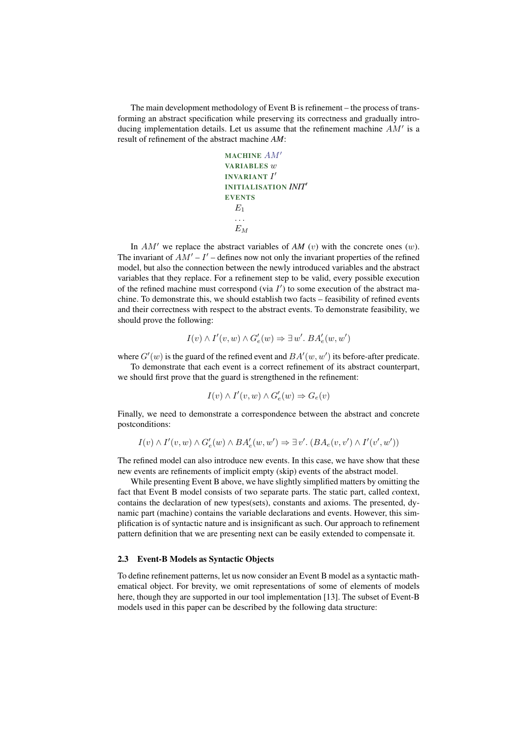The main development methodology of Event B is refinement – the process of transforming an abstract specification while preserving its correctness and gradually introducing implementation details. Let us assume that the refinement machine  $AM'$  is a result of refinement of the abstract machine *AM*:

MACHINE 
$$
AM'
$$
  
VARIABLES  $w$   
INVARIANT  $I'$   
INITIALISATION  $INIT$   
EWENTS  
 $E_1$   
...  
 $E_M$ 

In  $AM'$  we replace the abstract variables of  $AM$  (v) with the concrete ones (w). The invariant of  $AM' - I'$  – defines now not only the invariant properties of the refined model, but also the connection between the newly introduced variables and the abstract variables that they replace. For a refinement step to be valid, every possible execution of the refined machine must correspond (via  $I'$ ) to some execution of the abstract machine. To demonstrate this, we should establish two facts – feasibility of refined events and their correctness with respect to the abstract events. To demonstrate feasibility, we should prove the following:

$$
I(v) \wedge I'(v, w) \wedge G'_e(w) \Rightarrow \exists w'.\ BA'_e(w, w')
$$

where  $G'(w)$  is the guard of the refined event and  $BA'(w, w')$  its before-after predicate.

To demonstrate that each event is a correct refinement of its abstract counterpart, we should first prove that the guard is strengthened in the refinement:

$$
I(v) \wedge I'(v, w) \wedge G'_e(w) \Rightarrow G_e(v)
$$

Finally, we need to demonstrate a correspondence between the abstract and concrete postconditions:

$$
I(v) \wedge I'(v, w) \wedge G'_{e}(w) \wedge BA'_{e}(w, w') \Rightarrow \exists v'. (BA_{e}(v, v') \wedge I'(v', w'))
$$

The refined model can also introduce new events. In this case, we have show that these new events are refinements of implicit empty (skip) events of the abstract model.

While presenting Event B above, we have slightly simplified matters by omitting the fact that Event B model consists of two separate parts. The static part, called *c*ontext, contains the declaration of new types(sets), constants and axioms. The presented, dynamic part (machine) contains the variable declarations and events. However, this simplification is of syntactic nature and is insignificant as such. Our approach to refinement pattern definition that we are presenting next can be easily extended to compensate it.

# 2.3 Event-B Models as Syntactic Objects

To define refinement patterns, let us now consider an Event B model as a syntactic mathematical object. For brevity, we omit representations of some of elements of models here, though they are supported in our tool implementation [13]. The subset of Event-B models used in this paper can be described by the following data structure: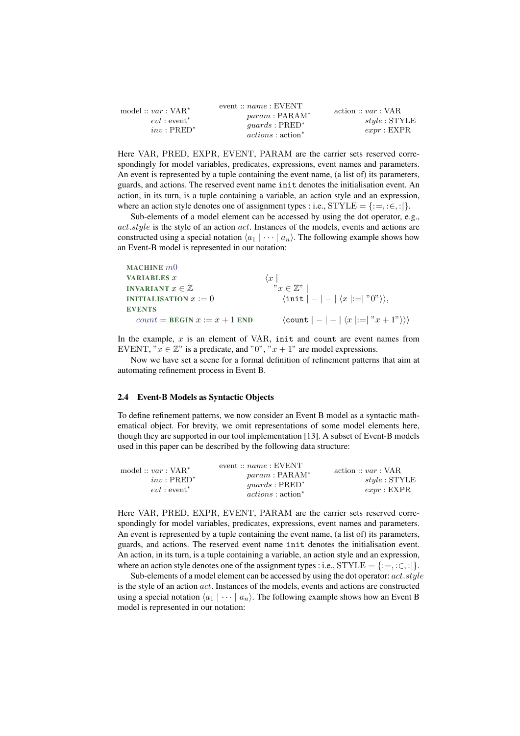| model :: $var : VAR^*$<br>$evt: event^*$<br>$inv: \text{PRED}^*$ | event :: $name :$ EVENT<br>$param: PARAM^*$<br>$quards : PRED^*$<br><i>actions</i> : action <sup>*</sup> | $\text{action} :: var : \text{VAR}$<br>style:STYLE<br>expr: EXPR |
|------------------------------------------------------------------|----------------------------------------------------------------------------------------------------------|------------------------------------------------------------------|
|                                                                  |                                                                                                          |                                                                  |

Here VAR, PRED, EXPR, EVENT, PARAM are the carrier sets reserved correspondingly for model variables, predicates, expressions, event names and parameters. An event is represented by a tuple containing the event name, (a list of) its parameters, guards, and actions. The reserved event name init denotes the initialisation event. An action, in its turn, is a tuple containing a variable, an action style and an expression, where an action style denotes one of assignment types : i.e.,  $STYLE = \{:=, : \in, : \}$ .

Sub-elements of a model element can be accessed by using the dot operator, e.g., act.style is the style of an action act. Instances of the models, events and actions are constructed using a special notation  $\langle a_1 | \cdots | a_n \rangle$ . The following example shows how an Event-B model is represented in our notation:

MACHINE  $m0$ VARIABLES x INVARIANT  $x\in\mathbb{Z}$ INITIALISATION  $x := 0$ EVENTS  $count = \text{BEGIN } x := x + 1 \text{ END}$  $\langle x |$  $"\,x \in \mathbb{Z}"$  $\langle \texttt{init} \rangle - \vert - \vert \langle x \vert := \vert v \rangle \rangle,$  $\langle \text{count } | - | - | \langle x | := | "x + 1" \rangle \rangle$ 

In the example,  $x$  is an element of VAR, init and count are event names from EVENT, " $x \in \mathbb{Z}^n$  is a predicate, and "0", " $x + 1$ " are model expressions.

Now we have set a scene for a formal definition of refinement patterns that aim at automating refinement process in Event B.

#### 2.4 Event-B Models as Syntactic Objects

To define refinement patterns, we now consider an Event B model as a syntactic mathematical object. For brevity, we omit representations of some model elements here, though they are supported in our tool implementation [13]. A subset of Event-B models used in this paper can be described by the following data structure:

| model :: $var : VAR^*$<br>$inv: \mathop{\rm PRED^*}$<br>$evt: event^*$ | event :: name : Every<br>$param : PARAM^*$<br>$quards : PRED^*$<br>$actions : action^*$ | $\text{action} :: var : \text{VAR}$<br>$style:$ STYLE<br>expr : EXPR |
|------------------------------------------------------------------------|-----------------------------------------------------------------------------------------|----------------------------------------------------------------------|
|                                                                        |                                                                                         |                                                                      |

Here VAR, PRED, EXPR, EVENT, PARAM are the carrier sets reserved correspondingly for model variables, predicates, expressions, event names and parameters. An event is represented by a tuple containing the event name, (a list of) its parameters, guards, and actions. The reserved event name init denotes the initialisation event. An action, in its turn, is a tuple containing a variable, an action style and an expression, where an action style denotes one of the assignment types : i.e.,  $STYLE = \{:=, : \in, : \}$ .

Sub-elements of a model element can be accessed by using the dot operator:  $act.style$ is the style of an action act. Instances of the models, events and actions are constructed using a special notation  $\langle a_1 | \cdots | a_n \rangle$ . The following example shows how an Event B model is represented in our notation: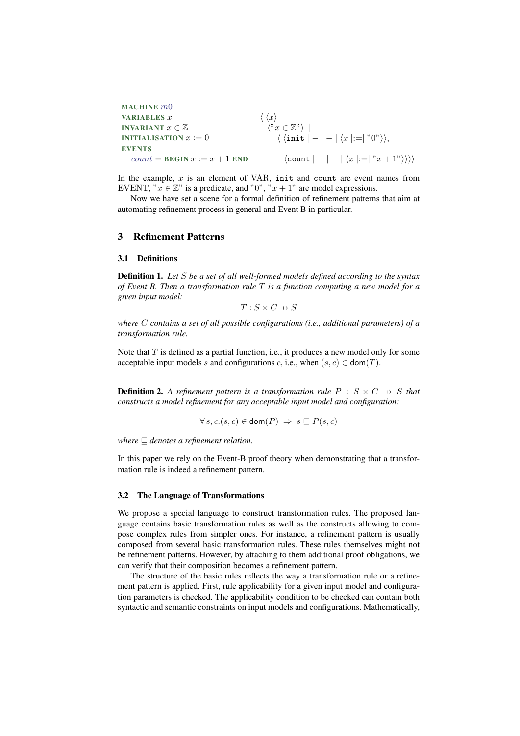```
MACHINE m0VARIABLES x
INVARIANT x \in \mathbb{Z}INITIALISATION x := 0EVENTS
    count = \text{BEGIN } x := x + 1 \text{ END}\langle x \rangle |
                                                                  \langle "x \in \mathbb{Z}" \rangle |
                                                                      \langle \langle \text{init} \rangle - | - | \langle x | := | "0" \rangle \rangle,\langle \text{count } | - | - | \langle x | := | "x + 1" \rangle \rangle \rangle
```
In the example,  $x$  is an element of VAR, init and count are event names from EVENT, " $x \in \mathbb{Z}^n$  is a predicate, and "0", " $x + 1$ " are model expressions.

Now we have set a scene for a formal definition of refinement patterns that aim at automating refinement process in general and Event B in particular.

# 3 Refinement Patterns

#### 3.1 Definitions

Definition 1. *Let* S *be a set of all well-formed models defined according to the syntax of Event B. Then a transformation rule* T *is a function computing a new model for a given input model:*

 $T : S \times C \rightarrow S$ 

*where* C *contains a set of all possible configurations (i.e., additional parameters) of a transformation rule.*

Note that  $T$  is defined as a partial function, i.e., it produces a new model only for some acceptable input models s and configurations c, i.e., when  $(s, c) \in \text{dom}(T)$ .

**Definition 2.** A refinement pattern is a transformation rule  $P : S \times C \rightarrow S$  that *constructs a model refinement for any acceptable input model and configuration:*

$$
\forall s, c. (s, c) \in \text{dom}(P) \implies s \sqsubseteq P(s, c)
$$

*where*  $\Box$  *denotes a refinement relation.* 

In this paper we rely on the Event-B proof theory when demonstrating that a transformation rule is indeed a refinement pattern.

### 3.2 The Language of Transformations

We propose a special language to construct transformation rules. The proposed language contains basic transformation rules as well as the constructs allowing to compose complex rules from simpler ones. For instance, a refinement pattern is usually composed from several basic transformation rules. These rules themselves might not be refinement patterns. However, by attaching to them additional proof obligations, we can verify that their composition becomes a refinement pattern.

The structure of the basic rules reflects the way a transformation rule or a refinement pattern is applied. First, rule applicability for a given input model and configuration parameters is checked. The applicability condition to be checked can contain both syntactic and semantic constraints on input models and configurations. Mathematically,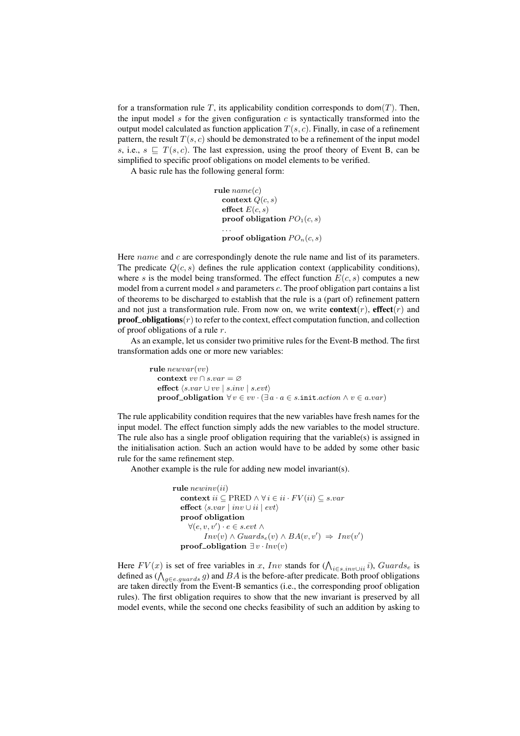for a transformation rule T, its applicability condition corresponds to dom(T). Then, the input model  $s$  for the given configuration  $c$  is syntactically transformed into the output model calculated as function application  $T(s, c)$ . Finally, in case of a refinement pattern, the result  $T(s, c)$  should be demonstrated to be a refinement of the input model s, i.e.,  $s \sqsubset T(s, c)$ . The last expression, using the proof theory of Event B, can be simplified to specific proof obligations on model elements to be verified.

A basic rule has the following general form:

```
rule name(c)context Q(c, s)effect E(c, s)proof obligation PO<sub>1</sub>(c, s). . .
  proof obligation PO_n(c, s)
```
Here *name* and *c* are correspondingly denote the rule name and list of its parameters. The predicate  $Q(c, s)$  defines the rule application context (applicability conditions), where s is the model being transformed. The effect function  $E(c, s)$  computes a new model from a current model  $s$  and parameters  $c$ . The proof obligation part contains a list of theorems to be discharged to establish that the rule is a (part of) refinement pattern and not just a transformation rule. From now on, we write **context** $(r)$ , **effect** $(r)$  and **proof obligations** $(r)$  to refer to the context, effect computation function, and collection of proof obligations of a rule  $r$ .

As an example, let us consider two primitive rules for the Event-B method. The first transformation adds one or more new variables:

```
rule newvar(vv)context vv \cap s.var = \varnothingeffect \langle s.var \cup vv \mid s.inv \mid s.evt \rangleproof_obligation \forall v \in vv \cdot (\exists a \cdot a \in s.\text{init}.action \land v \in a.var)
```
The rule applicability condition requires that the new variables have fresh names for the input model. The effect function simply adds the new variables to the model structure. The rule also has a single proof obligation requiring that the variable(s) is assigned in the initialisation action. Such an action would have to be added by some other basic rule for the same refinement step.

Another example is the rule for adding new model invariant(s).

```
rule newinv(ii)context ii \subseteq \text{PRED} \land \forall i \in ii \cdot FV(ii) \subseteq s.vareffect \langle s.var | inv \cup ii | evt \rangleproof obligation
       \forall (e, v, v') \cdot e \in s.\textit{evt} \landInv(v) \wedge Guards_e(v) \wedge BA(v, v') \Rightarrow Inv(v')proof_obligation \exists v \cdot \ln v(v)
```
Here  $FV(x)$  is set of free variables in x, Inv stands for  $(\bigwedge_{i \in s.inv \cup ii} i)$ ,  $Guards_e$  is defined as  $(\bigwedge_{g \in e, \text{quards}} g)$  and  $BA$  is the before-after predicate. Both proof obligations are taken directly from the Event-B semantics (i.e., the corresponding proof obligation rules). The first obligation requires to show that the new invariant is preserved by all model events, while the second one checks feasibility of such an addition by asking to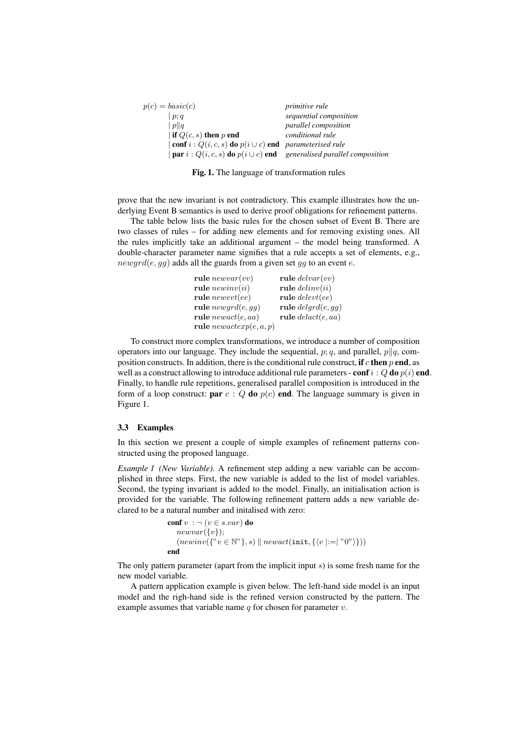| <i>primitive rule</i>                                                                        |
|----------------------------------------------------------------------------------------------|
| sequential composition                                                                       |
| <i>parallel composition</i>                                                                  |
| conditional rule                                                                             |
| $  \textbf{conf } i : Q(i, c, s) \textbf{ do } p(i \cup c) \textbf{ end}$ parameterised rule |
| $\vert$ par $i: Q(i, c, s)$ do $p(i \cup c)$ end generalised parallel composition            |
|                                                                                              |

Fig. 1. The language of transformation rules

prove that the new invariant is not contradictory. This example illustrates how the underlying Event B semantics is used to derive proof obligations for refinement patterns.

The table below lists the basic rules for the chosen subset of Event B. There are two classes of rules – for adding new elements and for removing existing ones. All the rules implicitly take an additional argument – the model being transformed. A double-character parameter name signifies that a rule accepts a set of elements, e.g.,  $newgrd(e, gg)$  adds all the guards from a given set gg to an event e.

| rule $newvar(vv)$        | rule $delvar(vv)$     |
|--------------------------|-----------------------|
| rule $newinv(ii)$        | rule $delinv(ii)$     |
| rule $newet(ee)$         | rule $deletetee)$     |
| rule $newqrd(e, qq)$     | rule $delayrd(e, gg)$ |
| rule $newact(e, aa)$     | rule $delta(e,aa)$    |
| rule $newacker(e, a, p)$ |                       |

To construct more complex transformations, we introduce a number of composition operators into our language. They include the sequential,  $p$ ; q, and parallel,  $p||q$ , composition constructs. In addition, there is the conditional rule construct, if  $c$  then  $p$  end, as well as a construct allowing to introduce additional rule parameters - conf  $i : Q$  do  $p(i)$  end. Finally, to handle rule repetitions, generalised parallel composition is introduced in the form of a loop construct: **par**  $c : Q$  **do**  $p(c)$  **end**. The language summary is given in Figure 1.

### 3.3 Examples

In this section we present a couple of simple examples of refinement patterns constructed using the proposed language.

*Example 1 (New Variable).* A refinement step adding a new variable can be accomplished in three steps. First, the new variable is added to the list of model variables. Second, the typing invariant is added to the model. Finally, an initialisation action is provided for the variable. The following refinement pattern adds a new variable declared to be a natural number and initalised with zero:

```
conf v : \neg (v \in s \cdot var) do
   newvar({v});
    (newinv({ \mathcal{C}}'v \in \mathbb{N}", s) \parallel newact(int, {\mathcal{C}}v := | "0" \rangle))end
```
The only pattern parameter (apart from the implicit input  $s$ ) is some fresh name for the new model variable.

A pattern application example is given below. The left-hand side model is an input model and the righ-hand side is the refined version constructed by the pattern. The example assumes that variable name  $q$  for chosen for parameter  $v$ .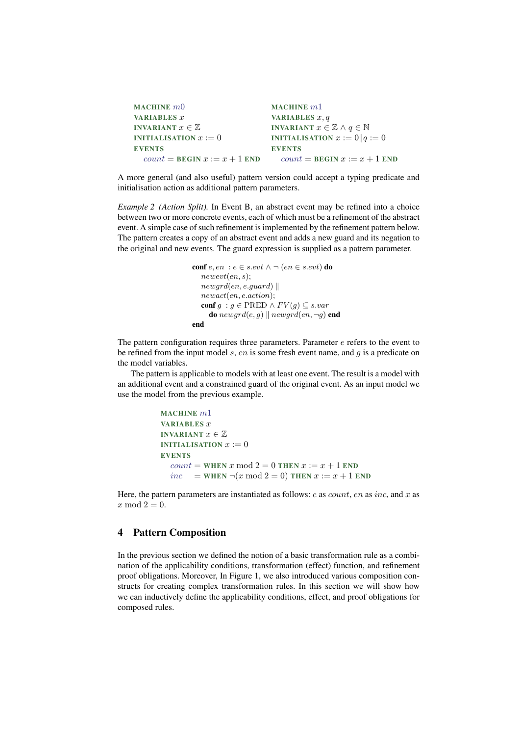```
MACHINE m()VARIABLES x
INVARIANT x \in \mathbb{Z}INITIALISATION x := 0EVENTS
  count = \text{BEGIN } x := x + 1 \text{ END}MACHINE m1
                                         VARIABLES x, qINVARIANT x \in \mathbb{Z} \wedge q \in \mathbb{N}INITIALISATION x := 0||q := 0EVENTS
                                            count = \text{BEGIN } x := x + 1 \text{ END}
```
A more general (and also useful) pattern version could accept a typing predicate and initialisation action as additional pattern parameters.

*Example 2 (Action Split).* In Event B, an abstract event may be refined into a choice between two or more concrete events, each of which must be a refinement of the abstract event. A simple case of such refinement is implemented by the refinement pattern below. The pattern creates a copy of an abstract event and adds a new guard and its negation to the original and new events. The guard expression is supplied as a pattern parameter.

```
conf e, en : e \in s.evt \wedge \neg (en \in s.evt) do
   newevt(en, s);newgrd(en, e.guard)newact(en, e.action);
   conf g : g \in \text{PRED} \wedge FV(g) \subseteq s-vardo newgrd(e, g) || newgrd(en, \neg g) end
end
```
The pattern configuration requires three parameters. Parameter  $e$  refers to the event to be refined from the input model  $s$ ,  $en$  is some fresh event name, and  $q$  is a predicate on the model variables.

The pattern is applicable to models with at least one event. The result is a model with an additional event and a constrained guard of the original event. As an input model we use the model from the previous example.

```
MACHINE m1VARIABLES x
INVARIANT x \in \mathbb{Z}INITIALISATION x := 0EVENTS
   count = \text{WHEN } x \text{ mod } 2 = 0 \text{ THEN } x := x + 1 \text{ END}inc = \text{WHEN } \neg (x \mod 2 = 0) \text{ THEN } x := x + 1 \text{ END}
```
Here, the pattern parameters are instantiated as follows:  $e$  as  $count$ ,  $en$  as  $inc$ , and  $x$  as  $x \mod 2 = 0.$ 

# 4 Pattern Composition

In the previous section we defined the notion of a basic transformation rule as a combination of the applicability conditions, transformation (effect) function, and refinement proof obligations. Moreover, In Figure 1, we also introduced various composition constructs for creating complex transformation rules. In this section we will show how we can inductively define the applicability conditions, effect, and proof obligations for composed rules.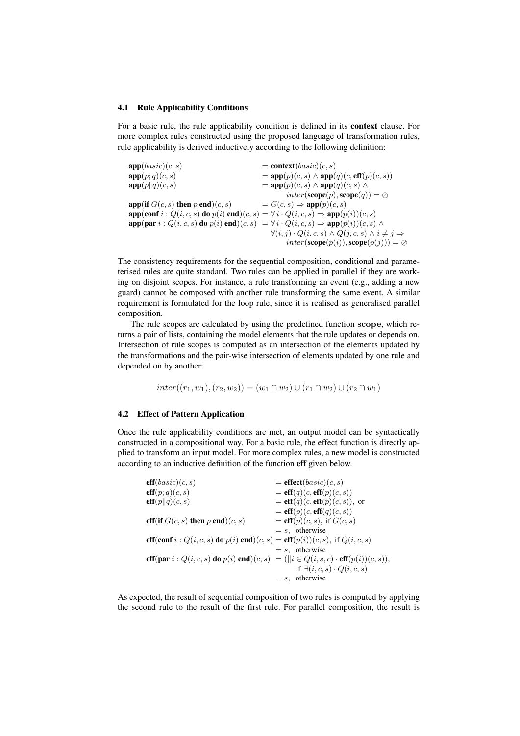#### 4.1 Rule Applicability Conditions

For a basic rule, the rule applicability condition is defined in its context clause. For more complex rules constructed using the proposed language of transformation rules, rule applicability is derived inductively according to the following definition:

 $app(basic)(c, s)$  = context $(basic)(c, s)$  $app(p;q)(c,s)$  =  $app(p)(c,s) \wedge app(q)(c,eff(p)(c,s))$  $\mathbf{app}(p||q)(c, s)$  =  $\mathbf{app}(p)(c, s) \wedge \mathbf{app}(q)(c, s)$   $\wedge$  $inter(\text{scope}(p), \text{scope}(q)) = \oslash$  $\mathbf{app}(\textbf{if } G(c, s) \textbf{ then } p \textbf{ end})(c, s) = G(c, s) \Rightarrow \mathbf{app}(p)(c, s)$  $app(conf i : Q(i, c, s) do p(i) end)(c, s) = \forall i \cdot Q(i, c, s) \Rightarrow app(p(i))(c, s)$ app(par  $i: Q(i, c, s)$  do  $p(i)$  end) $(c, s) = \forall i \cdot Q(i, c, s) \Rightarrow$  app $(p(i))(c, s) \wedge$  $\forall (i, j) \cdot Q(i, c, s) \land Q(j, c, s) \land i \neq j \Rightarrow$  $inter(\text{scope}(p(i)), \text{scope}(p(j))) = \emptyset$ 

The consistency requirements for the sequential composition, conditional and parameterised rules are quite standard. Two rules can be applied in parallel if they are working on disjoint scopes. For instance, a rule transforming an event (e.g., adding a new guard) cannot be composed with another rule transforming the same event. A similar requirement is formulated for the loop rule, since it is realised as generalised parallel composition.

The rule scopes are calculated by using the predefined function scope, which returns a pair of lists, containing the model elements that the rule updates or depends on. Intersection of rule scopes is computed as an intersection of the elements updated by the transformations and the pair-wise intersection of elements updated by one rule and depended on by another:

$$
inter((r_1, w_1), (r_2, w_2)) = (w_1 \cap w_2) \cup (r_1 \cap w_2) \cup (r_2 \cap w_1)
$$

#### 4.2 Effect of Pattern Application

Once the rule applicability conditions are met, an output model can be syntactically constructed in a compositional way. For a basic rule, the effect function is directly applied to transform an input model. For more complex rules, a new model is constructed according to an inductive definition of the function eff given below.

| eff(basic)(c, s)                                                                                     | $=$ effect(basic)(c, s)                 |
|------------------------------------------------------------------------------------------------------|-----------------------------------------|
| $\textbf{eff}(p;q)(c,s)$                                                                             | $=$ eff $(q)(c,$ eff $(p)(c, s))$       |
| $\textbf{eff}(p  q)(c,s)$                                                                            | $=$ eff $(q)(c,$ eff $(p)(c, s)$ , or   |
|                                                                                                      | $=$ eff $(p)(c,$ eff $(q)(c, s))$       |
| eff(if $G(c, s)$ then p end)(c, s)                                                                   | $=$ eff $(p)(c, s)$ , if $G(c, s)$      |
|                                                                                                      | $= s$ , otherwise                       |
| eff(conf i: $Q(i, c, s)$ do $p(i)$ end)(c, s) = eff(p(i))(c, s), if $Q(i, c, s)$                     |                                         |
|                                                                                                      | $= s$ , otherwise                       |
| eff(par $i: Q(i, c, s)$ do $p(i)$ end) $(c, s) = (  i \in Q(i, s, c) \cdot \text{eff}(p(i))(c, s)),$ |                                         |
|                                                                                                      | if $\exists (i, c, s) \cdot Q(i, c, s)$ |
|                                                                                                      | $= s$ , otherwise                       |

As expected, the result of sequential composition of two rules is computed by applying the second rule to the result of the first rule. For parallel composition, the result is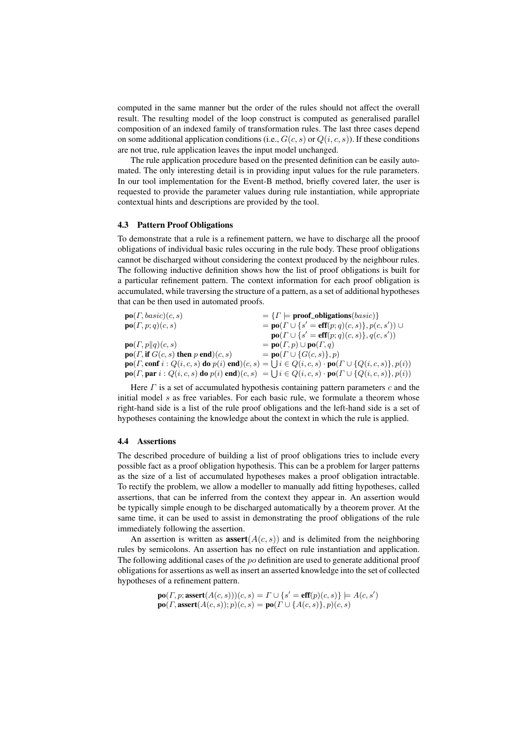computed in the same manner but the order of the rules should not affect the overall result. The resulting model of the loop construct is computed as generalised parallel composition of an indexed family of transformation rules. The last three cases depend on some additional application conditions (i.e.,  $G(c, s)$  or  $Q(i, c, s)$ ). If these conditions are not true, rule application leaves the input model unchanged.

The rule application procedure based on the presented definition can be easily automated. The only interesting detail is in providing input values for the rule parameters. In our tool implementation for the Event-B method, briefly covered later, the user is requested to provide the parameter values during rule instantiation, while appropriate contextual hints and descriptions are provided by the tool.

#### 4.3 Pattern Proof Obligations

To demonstrate that a rule is a refinement pattern, we have to discharge all the prooof obligations of individual basic rules occuring in the rule body. These proof obligations cannot be discharged without considering the context produced by the neighbour rules. The following inductive definition shows how the list of proof obligations is built for a particular refinement pattern. The context information for each proof obligation is accumulated, while traversing the structure of a pattern, as a set of additional hypotheses that can be then used in automated proofs.

| $\mathbf{po}(\Gamma, basic)(c, s)$                                          | $= \{ \Gamma \models \textbf{proof\_obligations}(basic) \}$                                                                                                                       |
|-----------------------------------------------------------------------------|-----------------------------------------------------------------------------------------------------------------------------------------------------------------------------------|
| $\mathbf{po}(T,p;q)(c,s)$                                                   | $=$ <b>po</b> $(\Gamma \cup \{s' = \text{eff}(p; q)(c, s)\}, p(c, s'))$                                                                                                           |
|                                                                             | $\mathbf{po}(\Gamma \cup \{s' = \mathbf{eff}(p; q)(c, s)\}, q(c, s'))$                                                                                                            |
| $\mathbf{po}(T,p  q)(c,s)$                                                  | $=$ po( $\Gamma, p$ ) $\cup$ po( $\Gamma, q$ )                                                                                                                                    |
| $\mathbf{po}(\Gamma, \text{if } G(c, s) \text{ then } p \text{ end})(c, s)$ | $= \textbf{po}(\Gamma \cup \{G(c,s)\}, p)$                                                                                                                                        |
|                                                                             | $\mathbf{p}\mathbf{o}(I,\mathbf{conf}\,i:Q(i,c,s)\,\mathbf{do}\,p(i)\,\mathbf{end})(c,s)=\bigcup i\in Q(i,c,s)\cdot\mathbf{p}\mathbf{o}(I\cup\{Q(i,c,s)\},p(i))$                  |
|                                                                             | $\mathbf{p}\mathbf{o}(I, \mathbf{par} \ i: Q(i, c, s) \mathbf{ do } p(i) \mathbf{ end})(c, s) = \bigcup i \in Q(i, c, s) \cdot \mathbf{p}\mathbf{o}(I \cup \{Q(i, c, s)\}, p(i))$ |

Here  $\Gamma$  is a set of accumulated hypothesis containing pattern parameters  $c$  and the initial model  $s$  as free variables. For each basic rule, we formulate a theorem whose right-hand side is a list of the rule proof obligations and the left-hand side is a set of hypotheses containing the knowledge about the context in which the rule is applied.

#### 4.4 Assertions

The described procedure of building a list of proof obligations tries to include every possible fact as a proof obligation hypothesis. This can be a problem for larger patterns as the size of a list of accumulated hypotheses makes a proof obligation intractable. To rectify the problem, we allow a modeller to manually add fitting hypotheses, called assertions, that can be inferred from the context they appear in. An assertion would be typically simple enough to be discharged automatically by a theorem prover. At the same time, it can be used to assist in demonstrating the proof obligations of the rule immediately following the assertion.

An assertion is written as **assert** $(A(c, s))$  and is delimited from the neighboring rules by semicolons. An assertion has no effect on rule instantiation and application. The following additional cases of the  $po$  definition are used to generate additional proof obligations for assertions as well as insert an asserted knowledge into the set of collected hypotheses of a refinement pattern.

$$
\mathbf{po}(T, p; \mathbf{assert}(A(c, s)))(c, s) = \Gamma \cup \{s' = \mathbf{eff}(p)(c, s)\} \models A(c, s')
$$
  
\n $\mathbf{po}(T, \mathbf{assert}(A(c, s)); p)(c, s) = \mathbf{po}(T \cup \{A(c, s)\}, p)(c, s)$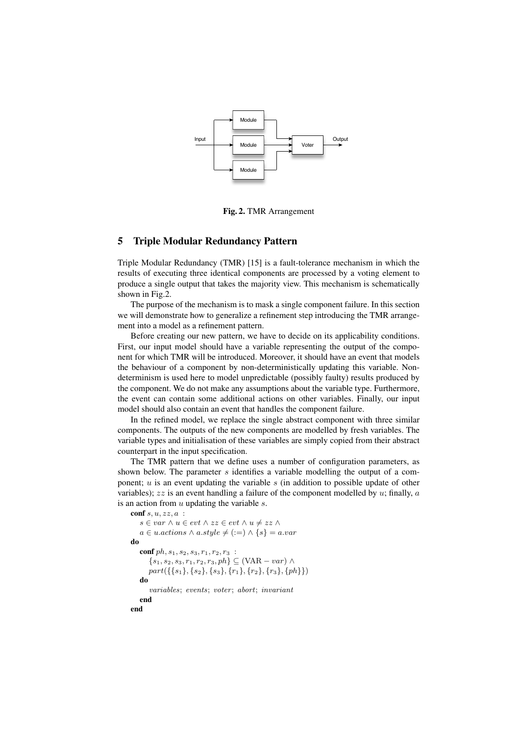

Fig. 2. TMR Arrangement

# 5 Triple Modular Redundancy Pattern

Triple Modular Redundancy (TMR) [15] is a fault-tolerance mechanism in which the results of executing three identical components are processed by a voting element to produce a single output that takes the majority view. This mechanism is schematically shown in Fig.2.

The purpose of the mechanism is to mask a single component failure. In this section we will demonstrate how to generalize a refinement step introducing the TMR arrangement into a model as a refinement pattern.

Before creating our new pattern, we have to decide on its applicability conditions. First, our input model should have a variable representing the output of the component for which TMR will be introduced. Moreover, it should have an event that models the behaviour of a component by non-deterministically updating this variable. Nondeterminism is used here to model unpredictable (possibly faulty) results produced by the component. We do not make any assumptions about the variable type. Furthermore, the event can contain some additional actions on other variables. Finally, our input model should also contain an event that handles the component failure.

In the refined model, we replace the single abstract component with three similar components. The outputs of the new components are modelled by fresh variables. The variable types and initialisation of these variables are simply copied from their abstract counterpart in the input specification.

The TMR pattern that we define uses a number of configuration parameters, as shown below. The parameter s identifies a variable modelling the output of a component;  $u$  is an event updating the variable  $s$  (in addition to possible update of other variables);  $zz$  is an event handling a failure of the component modelled by  $u$ ; finally,  $a$ is an action from  $u$  updating the variable  $s$ .

```
conf s, u, zz, a :
   s \in var \land u \in evt \land zz \in evt \land u \neq zz \landa \in u \text{.actions} \land a \text{.style} \neq (:=) \land \{s\} = a \text{.var}do
   conf ph, s_1, s_2, s_3, r_1, r_2, r_3:
       {s_1, s_2, s_3, r_1, r_2, r_3, ph} \subseteq (VAR - var) \wedgepart({\{s_1\},\{s_2\},\{s_3\},\{r_1\},\{r_2\},\{r_3\},\{ph\}})do
       variables; events; voter; abort; invariant
   end
end
```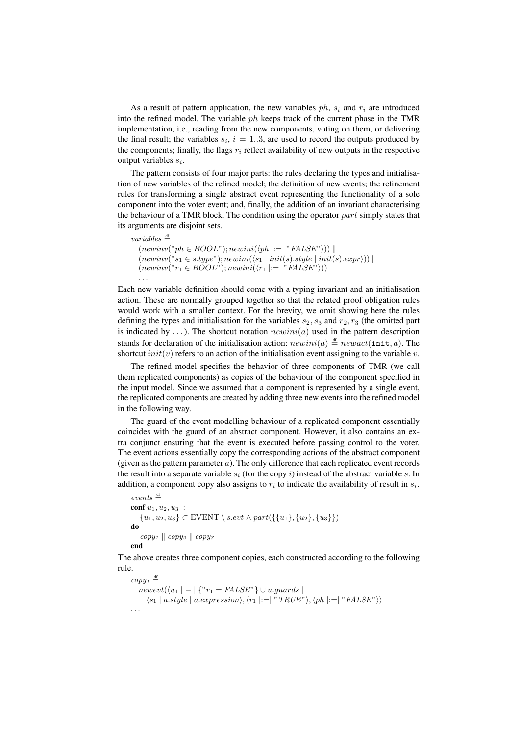As a result of pattern application, the new variables  $ph$ ,  $s_i$  and  $r_i$  are introduced into the refined model. The variable  $ph$  keeps track of the current phase in the TMR implementation, i.e., reading from the new components, voting on them, or delivering the final result; the variables  $s_i$ ,  $i = 1...3$ , are used to record the outputs produced by the components; finally, the flags  $r_i$  reflect availability of new outputs in the respective output variables  $s_i$ .

The pattern consists of four major parts: the rules declaring the types and initialisation of new variables of the refined model; the definition of new events; the refinement rules for transforming a single abstract event representing the functionality of a sole component into the voter event; and, finally, the addition of an invariant characterising the behaviour of a TMR block. The condition using the operator  $part$  simply states that its arguments are disjoint sets.

```
variables \stackrel{\text{df}}{=}(newinv("ph \in BOOL"); newini(\langle ph | := | "FALSE" \rangle))(newinv("s_1 \in s.type"); newini(\langle s_1 | init(s).style | init(s).expr \rangle))](newinv("r_1 \in BOOL"); newini(\langle r_1 | := | "FALSE" \rangle)). . .
```
Each new variable definition should come with a typing invariant and an initialisation action. These are normally grouped together so that the related proof obligation rules would work with a smaller context. For the brevity, we omit showing here the rules defining the types and initialisation for the variables  $s_2$ ,  $s_3$  and  $r_2$ ,  $r_3$  (the omitted part is indicated by ...). The shortcut notation  $newini(a)$  used in the pattern description stands for declaration of the initialisation action:  $newini(a) \stackrel{\text{df}}{=} newact(\text{init}, a)$ . The shortcut *init*(*v*) refers to an action of the initialisation event assigning to the variable *v*.

The refined model specifies the behavior of three components of TMR (we call them replicated components) as copies of the behaviour of the component specified in the input model. Since we assumed that a component is represented by a single event, the replicated components are created by adding three new events into the refined model in the following way.

The guard of the event modelling behaviour of a replicated component essentially coincides with the guard of an abstract component. However, it also contains an extra conjunct ensuring that the event is executed before passing control to the voter. The event actions essentially copy the corresponding actions of the abstract component (given as the pattern parameter  $a$ ). The only difference that each replicated event records the result into a separate variable  $s_i$  (for the copy i) instead of the abstract variable s. In addition, a component copy also assigns to  $r_i$  to indicate the availability of result in  $s_i$ .

 $events \stackrel{\text{df}}{=}$ conf  $u_1, u_2, u_3$ :  $\{u_1, u_2, u_3\} \subset \text{EVENT} \setminus s.\text{evt} \wedge \text{part}(\{\{u_1\}, \{u_2\}, \{u_3\}\})$ do  $copy_1 \parallel copy_2 \parallel copy_3$ end

The above creates three component copies, each constructed according to the following rule.

 $copy_1 \stackrel{\text{df}}{=}$  $newet(\langle u_1 | - | \{ {}^{\prime\prime}r_1 = FALSE^{\prime\prime} \} \cup u.guards | )$  $\langle s_1 | a.style \mid a.expression \rangle, \langle r_1 |:=| "TRUE" \rangle, \langle ph |:=| "FALSE" \rangle$ . . .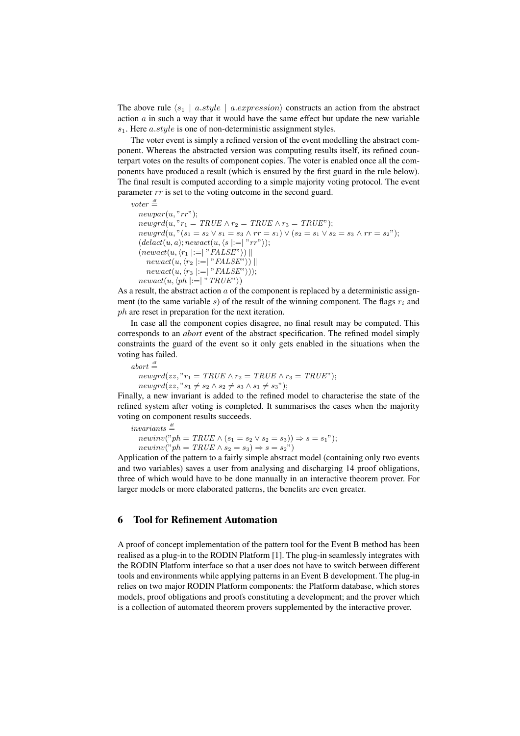The above rule  $\langle s_1 | a.style | a.expression \rangle$  constructs an action from the abstract action  $a$  in such a way that it would have the same effect but update the new variable  $s_1$ . Here a.style is one of non-deterministic assignment styles.

The voter event is simply a refined version of the event modelling the abstract component. Whereas the abstracted version was computing results itself, its refined counterpart votes on the results of component copies. The voter is enabled once all the components have produced a result (which is ensured by the first guard in the rule below). The final result is computed according to a simple majority voting protocol. The event parameter  $rr$  is set to the voting outcome in the second guard.

voter  $\stackrel{\text{df}}{=}$ 

 $newpar(u, "rr")$ ;  $newgrd(u, "r_1 = TRUE \wedge r_2 = TRUE \wedge r_3 = TRUE");$  $newgrd(u, "(s_1 = s_2 \vee s_1 = s_3 \wedge rr = s_1) \vee (s_2 = s_1 \vee s_2 = s_3 \wedge rr = s_2");$  $(delact(u, a); newact(u, \langle s | := | "rr" \rangle);$  $(newact(u, \langle r_1 | := | "FALSE"\rangle)$  $newact(u, \langle r_2 | := | "FALSE" \rangle)$  $newact(u, \langle r_3 | := | "FALSE"\rangle));$  $newact(u, \langle ph | := | "TRUE"\rangle)$ 

As a result, the abstract action  $a$  of the component is replaced by a deterministic assignment (to the same variable s) of the result of the winning component. The flags  $r_i$  and ph are reset in preparation for the next iteration.

In case all the component copies disagree, no final result may be computed. This corresponds to an *abort* event of the abstract specification. The refined model simply constraints the guard of the event so it only gets enabled in the situations when the voting has failed.

abort  $\stackrel{\text{df}}{=}$ 

 $newgrd(zz, "r_1 = TRUE \land r_2 = TRUE \land r_3 = TRUE");$  $newgrd(zz, "s<sub>1</sub> ≠ s<sub>2</sub> ∧ s<sub>2</sub> ≠ s<sub>3</sub> ∧ s<sub>1</sub> ≠ s<sub>3</sub>");$ 

Finally, a new invariant is added to the refined model to characterise the state of the refined system after voting is completed. It summarises the cases when the majority voting on component results succeeds.

 $invariants \stackrel{\text{df}}{=}$ 

 $newinv("ph = TRUE \land (s_1 = s_2 \lor s_2 = s_3)) \Rightarrow s = s_1"$ ;  $newinv("ph = TRUE \wedge s_2 = s_3) \Rightarrow s = s_2"$ 

Application of the pattern to a fairly simple abstract model (containing only two events and two variables) saves a user from analysing and discharging 14 proof obligations, three of which would have to be done manually in an interactive theorem prover. For larger models or more elaborated patterns, the benefits are even greater.

# 6 Tool for Refinement Automation

A proof of concept implementation of the pattern tool for the Event B method has been realised as a plug-in to the RODIN Platform [1]. The plug-in seamlessly integrates with the RODIN Platform interface so that a user does not have to switch between different tools and environments while applying patterns in an Event B development. The plug-in relies on two major RODIN Platform components: the Platform database, which stores models, proof obligations and proofs constituting a development; and the prover which is a collection of automated theorem provers supplemented by the interactive prover.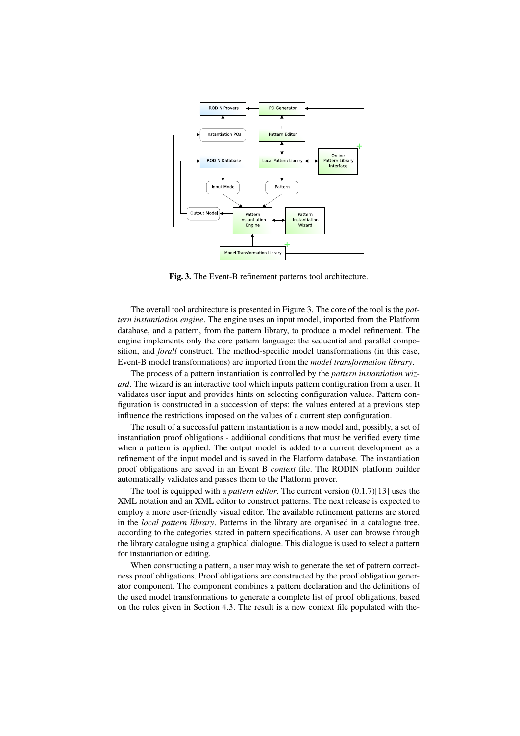

Fig. 3. The Event-B refinement patterns tool architecture.

The overall tool architecture is presented in Figure 3. The core of the tool is the *pattern instantiation engine*. The engine uses an input model, imported from the Platform database, and a pattern, from the pattern library, to produce a model refinement. The engine implements only the core pattern language: the sequential and parallel composition, and *forall* construct. The method-specific model transformations (in this case, Event-B model transformations) are imported from the *model transformation library*.

The process of a pattern instantiation is controlled by the *pattern instantiation wizard*. The wizard is an interactive tool which inputs pattern configuration from a user. It validates user input and provides hints on selecting configuration values. Pattern configuration is constructed in a succession of steps: the values entered at a previous step influence the restrictions imposed on the values of a current step configuration.

The result of a successful pattern instantiation is a new model and, possibly, a set of instantiation proof obligations - additional conditions that must be verified every time when a pattern is applied. The output model is added to a current development as a refinement of the input model and is saved in the Platform database. The instantiation proof obligations are saved in an Event B *context* file. The RODIN platform builder automatically validates and passes them to the Platform prover.

The tool is equipped with a *pattern editor*. The current version (0.1.7)[13] uses the XML notation and an XML editor to construct patterns. The next release is expected to employ a more user-friendly visual editor. The available refinement patterns are stored in the *local pattern library*. Patterns in the library are organised in a catalogue tree, according to the categories stated in pattern specifications. A user can browse through the library catalogue using a graphical dialogue. This dialogue is used to select a pattern for instantiation or editing.

When constructing a pattern, a user may wish to generate the set of pattern correctness proof obligations. Proof obligations are constructed by the proof obligation generator component. The component combines a pattern declaration and the definitions of the used model transformations to generate a complete list of proof obligations, based on the rules given in Section 4.3. The result is a new context file populated with the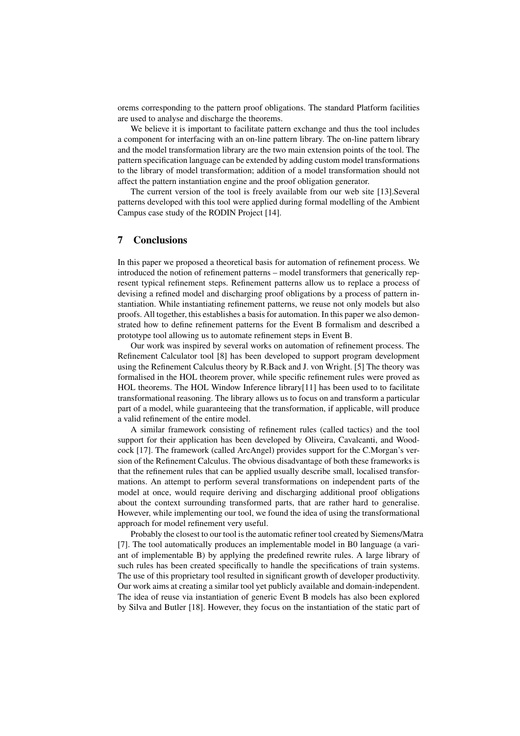orems corresponding to the pattern proof obligations. The standard Platform facilities are used to analyse and discharge the theorems.

We believe it is important to facilitate pattern exchange and thus the tool includes a component for interfacing with an on-line pattern library. The on-line pattern library and the model transformation library are the two main extension points of the tool. The pattern specification language can be extended by adding custom model transformations to the library of model transformation; addition of a model transformation should not affect the pattern instantiation engine and the proof obligation generator.

The current version of the tool is freely available from our web site [13].Several patterns developed with this tool were applied during formal modelling of the Ambient Campus case study of the RODIN Project [14].

### 7 Conclusions

In this paper we proposed a theoretical basis for automation of refinement process. We introduced the notion of refinement patterns – model transformers that generically represent typical refinement steps. Refinement patterns allow us to replace a process of devising a refined model and discharging proof obligations by a process of pattern instantiation. While instantiating refinement patterns, we reuse not only models but also proofs. All together, this establishes a basis for automation. In this paper we also demonstrated how to define refinement patterns for the Event B formalism and described a prototype tool allowing us to automate refinement steps in Event B.

Our work was inspired by several works on automation of refinement process. The Refinement Calculator tool [8] has been developed to support program development using the Refinement Calculus theory by R.Back and J. von Wright. [5] The theory was formalised in the HOL theorem prover, while specific refinement rules were proved as HOL theorems. The HOL Window Inference library[11] has been used to to facilitate transformational reasoning. The library allows us to focus on and transform a particular part of a model, while guaranteeing that the transformation, if applicable, will produce a valid refinement of the entire model.

A similar framework consisting of refinement rules (called tactics) and the tool support for their application has been developed by Oliveira, Cavalcanti, and Woodcock [17]. The framework (called ArcAngel) provides support for the C.Morgan's version of the Refinement Calculus. The obvious disadvantage of both these frameworks is that the refinement rules that can be applied usually describe small, localised transformations. An attempt to perform several transformations on independent parts of the model at once, would require deriving and discharging additional proof obligations about the context surrounding transformed parts, that are rather hard to generalise. However, while implementing our tool, we found the idea of using the transformational approach for model refinement very useful.

Probably the closest to our tool is the automatic refiner tool created by Siemens/Matra [7]. The tool automatically produces an implementable model in B0 language (a variant of implementable B) by applying the predefined rewrite rules. A large library of such rules has been created specifically to handle the specifications of train systems. The use of this proprietary tool resulted in significant growth of developer productivity. Our work aims at creating a similar tool yet publicly available and domain-independent. The idea of reuse via instantiation of generic Event B models has also been explored by Silva and Butler [18]. However, they focus on the instantiation of the static part of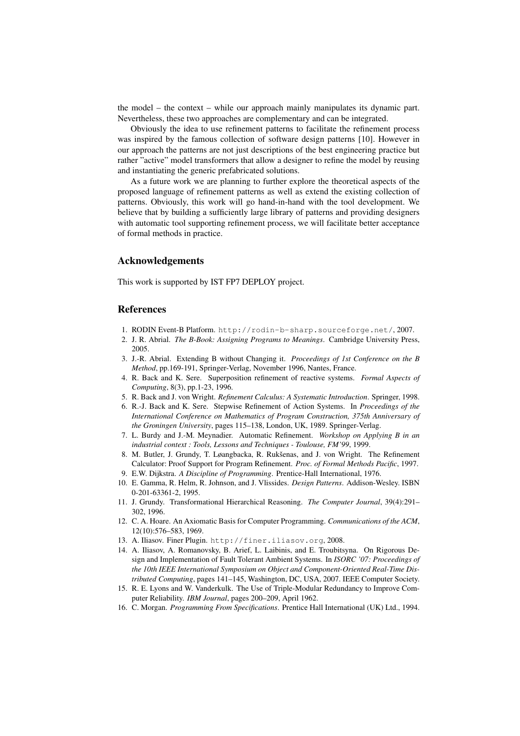the model – the context – while our approach mainly manipulates its dynamic part. Nevertheless, these two approaches are complementary and can be integrated.

Obviously the idea to use refinement patterns to facilitate the refinement process was inspired by the famous collection of software design patterns [10]. However in our approach the patterns are not just descriptions of the best engineering practice but rather "active" model transformers that allow a designer to refine the model by reusing and instantiating the generic prefabricated solutions.

As a future work we are planning to further explore the theoretical aspects of the proposed language of refinement patterns as well as extend the existing collection of patterns. Obviously, this work will go hand-in-hand with the tool development. We believe that by building a sufficiently large library of patterns and providing designers with automatic tool supporting refinement process, we will facilitate better acceptance of formal methods in practice.

# Acknowledgements

This work is supported by IST FP7 DEPLOY project.

### **References**

- 1. RODIN Event-B Platform. http://rodin-b-sharp.sourceforge.net/, 2007.
- 2. J. R. Abrial. *The B-Book: Assigning Programs to Meanings*. Cambridge University Press, 2005.
- 3. J.-R. Abrial. Extending B without Changing it. *Proceedings of 1st Conference on the B Method*, pp.169-191, Springer-Verlag, November 1996, Nantes, France.
- 4. R. Back and K. Sere. Superposition refinement of reactive systems. *Formal Aspects of Computing*, 8(3), pp.1-23, 1996.
- 5. R. Back and J. von Wright. *Refinement Calculus: A Systematic Introduction*. Springer, 1998.
- 6. R.-J. Back and K. Sere. Stepwise Refinement of Action Systems. In *Proceedings of the International Conference on Mathematics of Program Construction, 375th Anniversary of the Groningen University*, pages 115–138, London, UK, 1989. Springer-Verlag.
- 7. L. Burdy and J.-M. Meynadier. Automatic Refinement. *Workshop on Applying B in an industrial context : Tools, Lessons and Techniques - Toulouse, FM'99*, 1999.
- 8. M. Butler, J. Grundy, T. Løangbacka, R. Rukšenas, and J. von Wright. The Refinement Calculator: Proof Support for Program Refinement. *Proc. of Formal Methods Pacific*, 1997.
- 9. E.W. Dijkstra. *A Discipline of Programming*. Prentice-Hall International, 1976.
- 10. E. Gamma, R. Helm, R. Johnson, and J. Vlissides. *Design Patterns*. Addison-Wesley. ISBN 0-201-63361-2, 1995.
- 11. J. Grundy. Transformational Hierarchical Reasoning. *The Computer Journal*, 39(4):291– 302, 1996.
- 12. C. A. Hoare. An Axiomatic Basis for Computer Programming. *Communications of the ACM*, 12(10):576–583, 1969.
- 13. A. Iliasov. Finer Plugin. http://finer.iliasov.org, 2008.
- 14. A. Iliasov, A. Romanovsky, B. Arief, L. Laibinis, and E. Troubitsyna. On Rigorous Design and Implementation of Fault Tolerant Ambient Systems. In *ISORC '07: Proceedings of the 10th IEEE International Symposium on Object and Component-Oriented Real-Time Distributed Computing*, pages 141–145, Washington, DC, USA, 2007. IEEE Computer Society.
- 15. R. E. Lyons and W. Vanderkulk. The Use of Triple-Modular Redundancy to Improve Computer Reliability. *IBM Journal*, pages 200–209, April 1962.
- 16. C. Morgan. *Programming From Specifications*. Prentice Hall International (UK) Ltd., 1994.